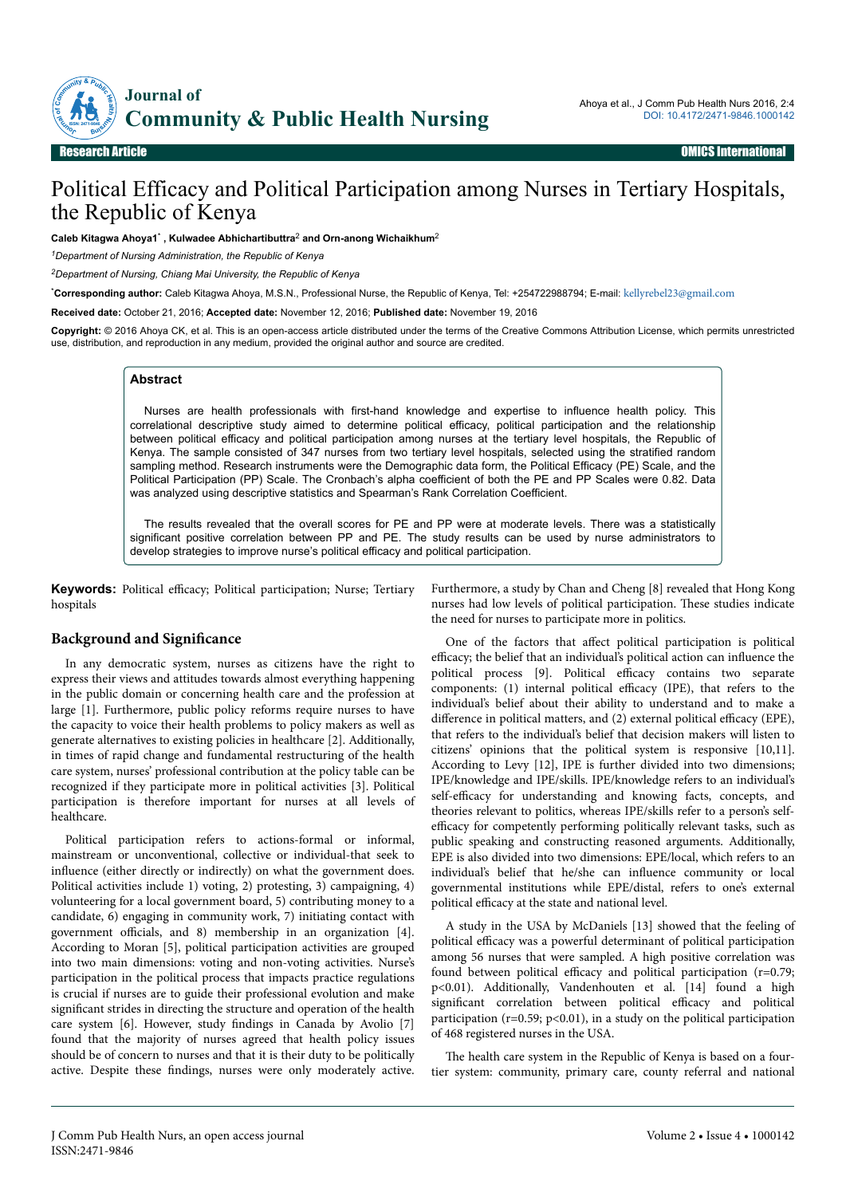

# Political Efficacy and Political Participation among Nurses in Tertiary Hospitals, the Republic of Kenya

**Caleb Kitagwa Ahoya1**\*  **, Kulwadee Abhichartibuttra**<sup>2</sup>  **and Orn-anong Wichaikhum**<sup>2</sup>

*<sup>1</sup>Department of Nursing Administration, the Republic of Kenya*

*<sup>2</sup>Department of Nursing, Chiang Mai University, the Republic of Kenya*

\***Corresponding author:** Caleb Kitagwa Ahoya, M.S.N., Professional Nurse, the Republic of Kenya, Tel: +254722988794; E-mail: [kellyrebel23@gmail.com](mailto:kellyrebel23@gmail.com)

**Received date:** October 21, 2016; **Accepted date:** November 12, 2016; **Published date:** November 19, 2016

**Copyright:** © 2016 Ahoya CK, et al. This is an open-access article distributed under the terms of the Creative Commons Attribution License, which permits unrestricted use, distribution, and reproduction in any medium, provided the original author and source are credited.

#### **Abstract**

Nurses are health professionals with first-hand knowledge and expertise to influence health policy. This correlational descriptive study aimed to determine political efficacy, political participation and the relationship between political efficacy and political participation among nurses at the tertiary level hospitals, the Republic of Kenya. The sample consisted of 347 nurses from two tertiary level hospitals, selected using the stratified random sampling method. Research instruments were the Demographic data form, the Political Efficacy (PE) Scale, and the Political Participation (PP) Scale. The Cronbach's alpha coefficient of both the PE and PP Scales were 0.82. Data was analyzed using descriptive statistics and Spearman's Rank Correlation Coefficient.

The results revealed that the overall scores for PE and PP were at moderate levels. There was a statistically significant positive correlation between PP and PE. The study results can be used by nurse administrators to develop strategies to improve nurse's political efficacy and political participation.

**Keywords:** Political efficacy; Political participation; Nurse; Tertiary hospitals

## **Background and Significance**

In any democratic system, nurses as citizens have the right to express their views and attitudes towards almost everything happening in the public domain or concerning health care and the profession at large [1]. Furthermore, public policy reforms require nurses to have the capacity to voice their health problems to policy makers as well as generate alternatives to existing policies in healthcare [2]. Additionally, in times of rapid change and fundamental restructuring of the health care system, nurses' professional contribution at the policy table can be recognized if they participate more in political activities [3]. Political participation is therefore important for nurses at all levels of healthcare.

Political participation refers to actions-formal or informal, mainstream or unconventional, collective or individual-that seek to influence (either directly or indirectly) on what the government does. Political activities include 1) voting, 2) protesting, 3) campaigning, 4) volunteering for a local government board, 5) contributing money to a candidate, 6) engaging in community work, 7) initiating contact with government officials, and 8) membership in an organization [4]. According to Moran [5], political participation activities are grouped into two main dimensions: voting and non-voting activities. Nurse's participation in the political process that impacts practice regulations is crucial if nurses are to guide their professional evolution and make significant strides in directing the structure and operation of the health care system [6]. However, study findings in Canada by Avolio [7] found that the majority of nurses agreed that health policy issues should be of concern to nurses and that it is their duty to be politically active. Despite these findings, nurses were only moderately active.

Furthermore, a study by Chan and Cheng [8] revealed that Hong Kong nurses had low levels of political participation. Нese studies indicate the need for nurses to participate more in politics.

One of the factors that affect political participation is political efficacy; the belief that an individual's political action can influence the political process [9]. Political efficacy contains two separate components:  $(1)$  internal political efficacy (IPE), that refers to the individual's belief about their ability to understand and to make a difference in political matters, and (2) external political efficacy (EPE), that refers to the individual's belief that decision makers will listen to citizens' opinions that the political system is responsive [10,11]. According to Levy [12], IPE is further divided into two dimensions; IPE/knowledge and IPE/skills. IPE/knowledge refers to an individual's self-efficacy for understanding and knowing facts, concepts, and theories relevant to politics, whereas IPE/skills refer to a person's selfefficacy for competently performing politically relevant tasks, such as public speaking and constructing reasoned arguments. Additionally, EPE is also divided into two dimensions: EPE/local, which refers to an individual's belief that he/she can influence community or local governmental institutions while EPE/distal, refers to one's external political efficacy at the state and national level.

A study in the USA by McDaniels [13] showed that the feeling of political efficacy was a powerful determinant of political participation among 56 nurses that were sampled. A high positive correlation was found between political efficacy and political participation ( $r=0.79$ ; p<0.01). Additionally, Vandenhouten et al. [14] found a high significant correlation between political efficacy and political participation ( $r=0.59$ ;  $p<0.01$ ), in a study on the political participation of 468 registered nurses in the USA.

The health care system in the Republic of Kenya is based on a fourtier system: community, primary care, county referral and national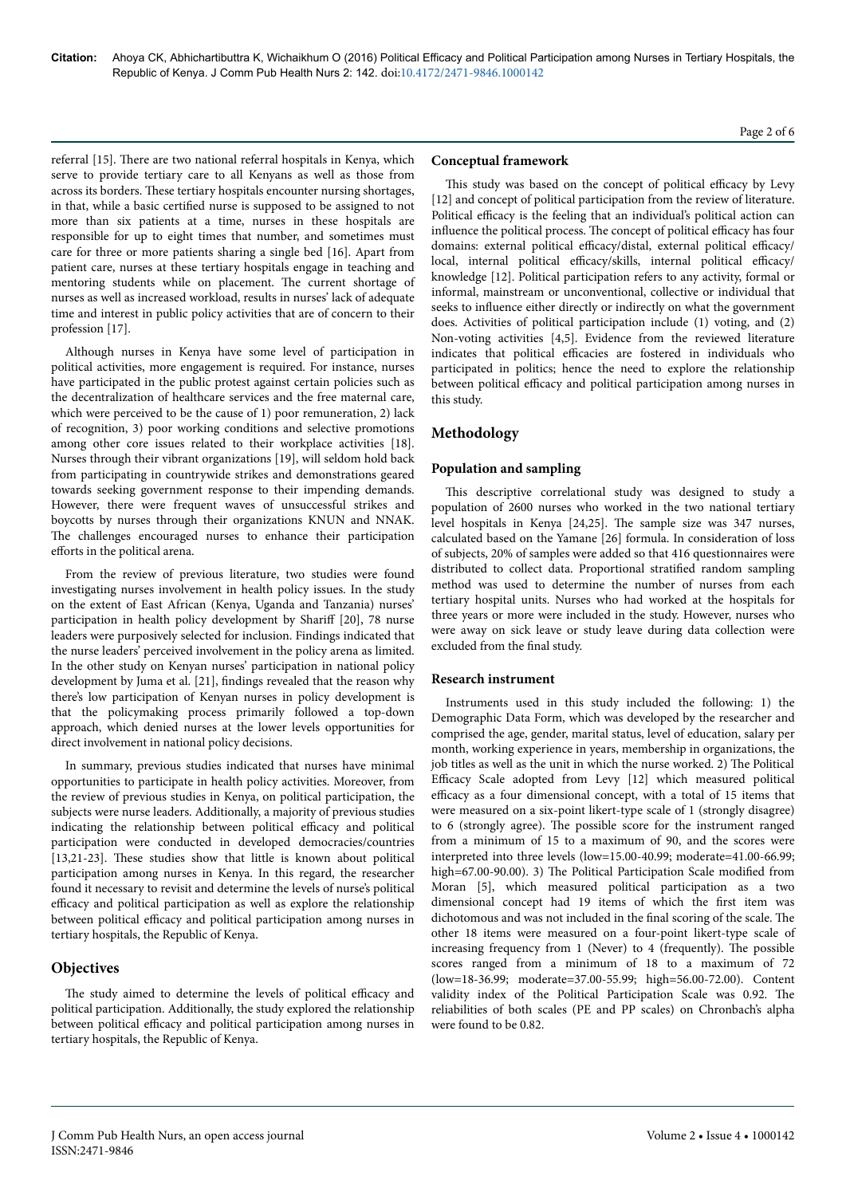referral [15]. Нere are two national referral hospitals in Kenya, which serve to provide tertiary care to all Kenyans as well as those from across its borders. Нese tertiary hospitals encounter nursing shortages, in that, while a basic certified nurse is supposed to be assigned to not more than six patients at a time, nurses in these hospitals are responsible for up to eight times that number, and sometimes must care for three or more patients sharing a single bed [16]. Apart from patient care, nurses at these tertiary hospitals engage in teaching and mentoring students while on placement. Нe current shortage of nurses as well as increased workload, results in nurses' lack of adequate time and interest in public policy activities that are of concern to their profession [17].

Although nurses in Kenya have some level of participation in political activities, more engagement is required. For instance, nurses have participated in the public protest against certain policies such as the decentralization of healthcare services and the free maternal care, which were perceived to be the cause of 1) poor remuneration, 2) lack of recognition, 3) poor working conditions and selective promotions among other core issues related to their workplace activities [18]. Nurses through their vibrant organizations [19], will seldom hold back from participating in countrywide strikes and demonstrations geared towards seeking government response to their impending demands. However, there were frequent waves of unsuccessful strikes and boycotts by nurses through their organizations KNUN and NNAK. The challenges encouraged nurses to enhance their participation efforts in the political arena.

From the review of previous literature, two studies were found investigating nurses involvement in health policy issues. In the study on the extent of East African (Kenya, Uganda and Tanzania) nurses' participation in health policy development by Shariff [20], 78 nurse leaders were purposively selected for inclusion. Findings indicated that the nurse leaders' perceived involvement in the policy arena as limited. In the other study on Kenyan nurses' participation in national policy development by Juma et al. [21], findings revealed that the reason why there's low participation of Kenyan nurses in policy development is that the policymaking process primarily followed a top-down approach, which denied nurses at the lower levels opportunities for direct involvement in national policy decisions.

In summary, previous studies indicated that nurses have minimal opportunities to participate in health policy activities. Moreover, from the review of previous studies in Kenya, on political participation, the subjects were nurse leaders. Additionally, a majority of previous studies indicating the relationship between political efficacy and political participation were conducted in developed democracies/countries [13,21-23]. These studies show that little is known about political participation among nurses in Kenya. In this regard, the researcher found it necessary to revisit and determine the levels of nurse's political efficacy and political participation as well as explore the relationship between political efficacy and political participation among nurses in tertiary hospitals, the Republic of Kenya.

## **Objectives**

The study aimed to determine the levels of political efficacy and political participation. Additionally, the study explored the relationship between political efficacy and political participation among nurses in tertiary hospitals, the Republic of Kenya.

#### **Conceptual framework**

This study was based on the concept of political efficacy by Levy [12] and concept of political participation from the review of literature. Political efficacy is the feeling that an individual's political action can influence the political process. The concept of political efficacy has four domains: external political efficacy/distal, external political efficacy/ local, internal political efficacy/skills, internal political efficacy/ knowledge [12]. Political participation refers to any activity, formal or informal, mainstream or unconventional, collective or individual that seeks to influence either directly or indirectly on what the government does. Activities of political participation include (1) voting, and (2) Non-voting activities [4,5]. Evidence from the reviewed literature indicates that political efficacies are fostered in individuals who participated in politics; hence the need to explore the relationship between political efficacy and political participation among nurses in this study.

# **Methodology**

#### **Population and sampling**

This descriptive correlational study was designed to study a population of 2600 nurses who worked in the two national tertiary level hospitals in Kenya [24,25]. Нe sample size was 347 nurses, calculated based on the Yamane [26] formula. In consideration of loss of subjects, 20% of samples were added so that 416 questionnaires were distributed to collect data. Proportional stratified random sampling method was used to determine the number of nurses from each tertiary hospital units. Nurses who had worked at the hospitals for three years or more were included in the study. However, nurses who were away on sick leave or study leave during data collection were excluded from the final study.

#### **Research instrument**

Instruments used in this study included the following: 1) the Demographic Data Form, which was developed by the researcher and comprised the age, gender, marital status, level of education, salary per month, working experience in years, membership in organizations, the job titles as well as the unit in which the nurse worked. 2) Нe Political Efficacy Scale adopted from Levy [12] which measured political efficacy as a four dimensional concept, with a total of 15 items that were measured on a six-point likert-type scale of 1 (strongly disagree) to 6 (strongly agree). Нe possible score for the instrument ranged from a minimum of 15 to a maximum of 90, and the scores were interpreted into three levels (low=15.00-40.99; moderate=41.00-66.99; high=67.00-90.00). 3) The Political Participation Scale modified from Moran [5], which measured political participation as a two dimensional concept had 19 items of which the first item was dichotomous and was not included in the final scoring of the scale. Нe other 18 items were measured on a four-point likert-type scale of increasing frequency from 1 (Never) to 4 (frequently). Нe possible scores ranged from a minimum of 18 to a maximum of 72 (low=18-36.99; moderate=37.00-55.99; high=56.00-72.00). Content validity index of the Political Participation Scale was 0.92. Нe reliabilities of both scales (PE and PP scales) on Chronbach's alpha were found to be 0.82.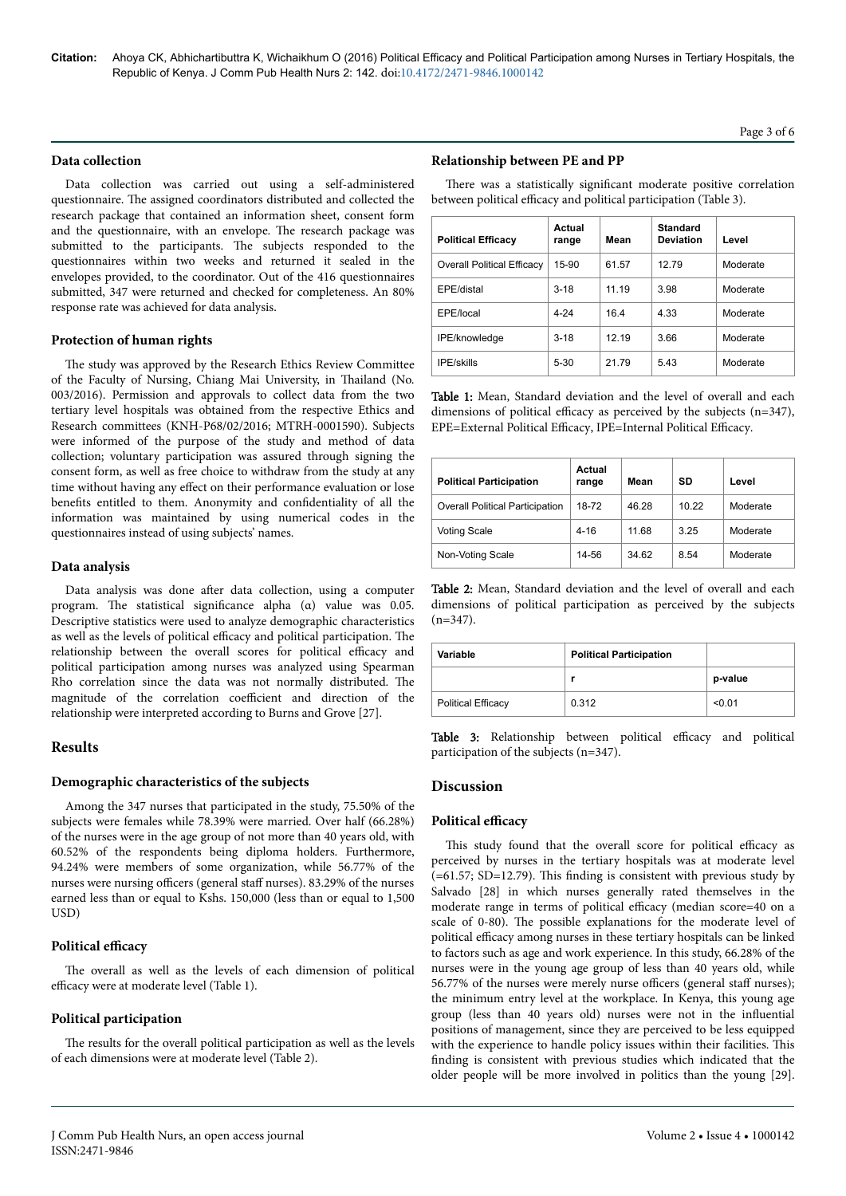# Page 3 of 6

#### **Data collection**

Data collection was carried out using a self-administered questionnaire. Нe assigned coordinators distributed and collected the research package that contained an information sheet, consent form and the questionnaire, with an envelope. Нe research package was submitted to the participants. Нe subjects responded to the questionnaires within two weeks and returned it sealed in the envelopes provided, to the coordinator. Out of the 416 questionnaires submitted, 347 were returned and checked for completeness. An 80% response rate was achieved for data analysis.

#### **Protection of human rights**

The study was approved by the Research Ethics Review Committee of the Faculty of Nursing, Chiang Mai University, in Нailand (No. 003/2016). Permission and approvals to collect data from the two tertiary level hospitals was obtained from the respective Ethics and Research committees (KNH-P68/02/2016; MTRH-0001590). Subjects were informed of the purpose of the study and method of data collection; voluntary participation was assured through signing the consent form, as well as free choice to withdraw from the study at any time without having any effect on their performance evaluation or lose benefits entitled to them. Anonymity and confidentiality of all the information was maintained by using numerical codes in the questionnaires instead of using subjects' names.

#### **Data analysis**

Data analysis was done after data collection, using a computer program. Нe statistical significance alpha (α) value was 0.05. Descriptive statistics were used to analyze demographic characteristics as well as the levels of political efficacy and political participation. The relationship between the overall scores for political efficacy and political participation among nurses was analyzed using Spearman Rho correlation since the data was not normally distributed. Нe magnitude of the correlation coefficient and direction of the relationship were interpreted according to Burns and Grove [27].

## **Results**

## **Demographic characteristics of the subjects**

Among the 347 nurses that participated in the study, 75.50% of the subjects were females while 78.39% were married. Over half (66.28%) of the nurses were in the age group of not more than 40 years old, with 60.52% of the respondents being diploma holders. Furthermore, 94.24% were members of some organization, while 56.77% of the nurses were nursing officers (general staff nurses). 83.29% of the nurses earned less than or equal to Kshs. 150,000 (less than or equal to 1,500 USD)

## **Political efficacy**

The overall as well as the levels of each dimension of political efficacy were at moderate level (Table 1).

## **Political participation**

The results for the overall political participation as well as the levels of each dimensions were at moderate level (Table 2).

#### **Relationship between PE and PP**

There was a statistically significant moderate positive correlation between political efficacy and political participation (Table 3).

| <b>Political Efficacy</b>         | Actual<br>range | Mean  | <b>Standard</b><br><b>Deviation</b> | Level    |
|-----------------------------------|-----------------|-------|-------------------------------------|----------|
| <b>Overall Political Efficacy</b> | 15-90           | 61.57 | 12.79                               | Moderate |
| EPE/distal                        | $3 - 18$        | 11.19 | 3.98                                | Moderate |
| EPE/local                         | $4 - 24$        | 16.4  | 4.33                                | Moderate |
| IPE/knowledge                     | $3 - 18$        | 12.19 | 3.66                                | Moderate |
| <b>IPE/skills</b>                 | $5-30$          | 21.79 | 5.43                                | Moderate |

Table 1: Mean, Standard deviation and the level of overall and each dimensions of political efficacy as perceived by the subjects (n=347), EPE=External Political Efficacy, IPE=Internal Political Efficacy.

| <b>Political Participation</b>         | Actual<br>range | Mean  | SD    | Level    |
|----------------------------------------|-----------------|-------|-------|----------|
| <b>Overall Political Participation</b> | 18-72           | 46.28 | 10.22 | Moderate |
| <b>Voting Scale</b>                    | $4 - 16$        | 11.68 | 3 25  | Moderate |
| Non-Voting Scale                       | 14-56           | 34.62 | 8.54  | Moderate |

Table 2: Mean, Standard deviation and the level of overall and each dimensions of political participation as perceived by the subjects  $(n=347)$ .

| Variable                  | <b>Political Participation</b> |         |
|---------------------------|--------------------------------|---------|
|                           |                                | p-value |
| <b>Political Efficacy</b> | 0.312                          | < 0.01  |

Table 3: Relationship between political efficacy and political participation of the subjects (n=347).

## **Discussion**

#### **Political efficacy**

This study found that the overall score for political efficacy as perceived by nurses in the tertiary hospitals was at moderate level (=61.57; SD=12.79). Нis finding is consistent with previous study by Salvado [28] in which nurses generally rated themselves in the moderate range in terms of political efficacy (median score=40 on a scale of 0-80). Нe possible explanations for the moderate level of political efficacy among nurses in these tertiary hospitals can be linked to factors such as age and work experience. In this study, 66.28% of the nurses were in the young age group of less than 40 years old, while 56.77% of the nurses were merely nurse officers (general staff nurses); the minimum entry level at the workplace. In Kenya, this young age group (less than 40 years old) nurses were not in the influential positions of management, since they are perceived to be less equipped with the experience to handle policy issues within their facilities. Нis finding is consistent with previous studies which indicated that the older people will be more involved in politics than the young [29].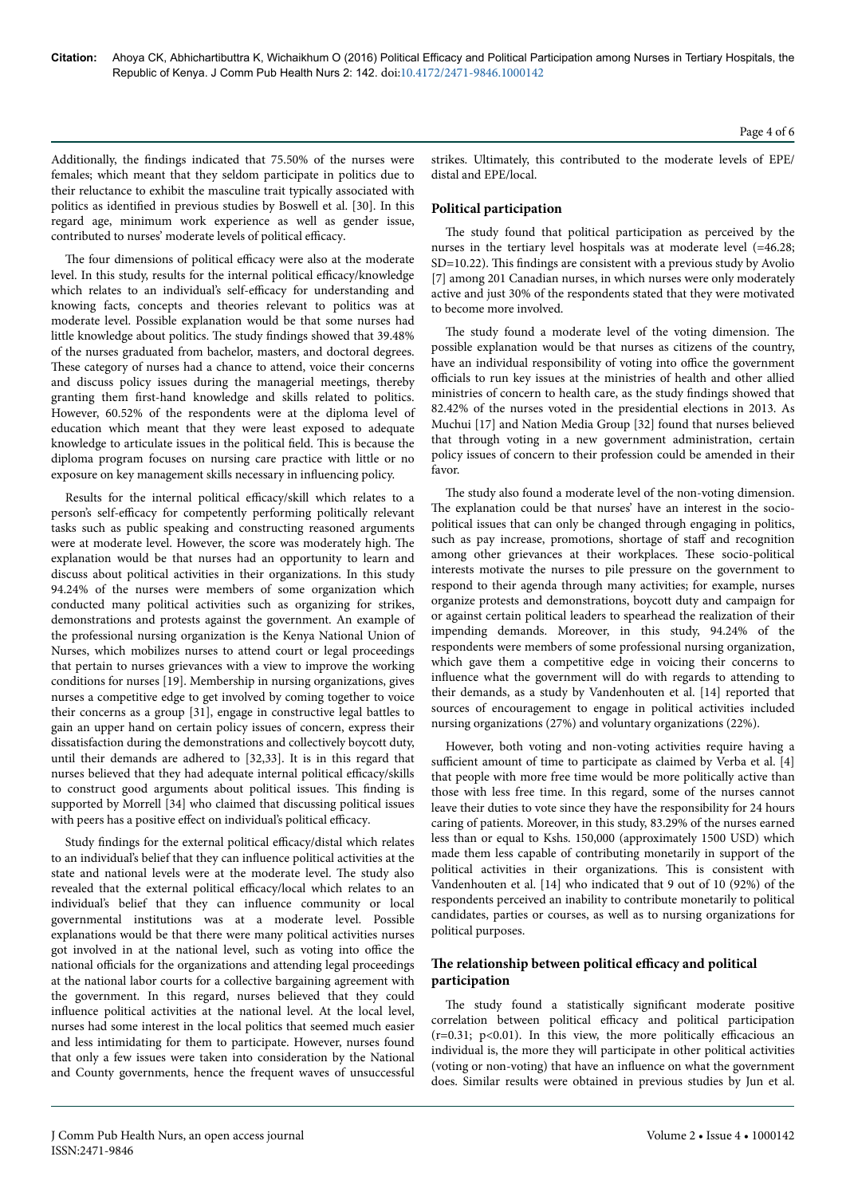Additionally, the findings indicated that 75.50% of the nurses were females; which meant that they seldom participate in politics due to their reluctance to exhibit the masculine trait typically associated with politics as identified in previous studies by Boswell et al. [30]. In this regard age, minimum work experience as well as gender issue, contributed to nurses' moderate levels of political efficacy.

The four dimensions of political efficacy were also at the moderate level. In this study, results for the internal political efficacy/knowledge which relates to an individual's self-efficacy for understanding and knowing facts, concepts and theories relevant to politics was at moderate level. Possible explanation would be that some nurses had little knowledge about politics. Нe study findings showed that 39.48% of the nurses graduated from bachelor, masters, and doctoral degrees. These category of nurses had a chance to attend, voice their concerns and discuss policy issues during the managerial meetings, thereby granting them first-hand knowledge and skills related to politics. However, 60.52% of the respondents were at the diploma level of education which meant that they were least exposed to adequate knowledge to articulate issues in the political field. Нis is because the diploma program focuses on nursing care practice with little or no exposure on key management skills necessary in influencing policy.

Results for the internal political efficacy/skill which relates to a person's self-efficacy for competently performing politically relevant tasks such as public speaking and constructing reasoned arguments were at moderate level. However, the score was moderately high. Нe explanation would be that nurses had an opportunity to learn and discuss about political activities in their organizations. In this study 94.24% of the nurses were members of some organization which conducted many political activities such as organizing for strikes, demonstrations and protests against the government. An example of the professional nursing organization is the Kenya National Union of Nurses, which mobilizes nurses to attend court or legal proceedings that pertain to nurses grievances with a view to improve the working conditions for nurses [19]. Membership in nursing organizations, gives nurses a competitive edge to get involved by coming together to voice their concerns as a group [31], engage in constructive legal battles to gain an upper hand on certain policy issues of concern, express their dissatisfaction during the demonstrations and collectively boycott duty, until their demands are adhered to [32,33]. It is in this regard that nurses believed that they had adequate internal political efficacy/skills to construct good arguments about political issues. Нis finding is supported by Morrell [34] who claimed that discussing political issues with peers has a positive effect on individual's political efficacy.

Study findings for the external political efficacy/distal which relates to an individual's belief that they can influence political activities at the state and national levels were at the moderate level. Нe study also revealed that the external political efficacy/local which relates to an individual's belief that they can influence community or local governmental institutions was at a moderate level. Possible explanations would be that there were many political activities nurses got involved in at the national level, such as voting into office the national officials for the organizations and attending legal proceedings at the national labor courts for a collective bargaining agreement with the government. In this regard, nurses believed that they could influence political activities at the national level. At the local level, nurses had some interest in the local politics that seemed much easier and less intimidating for them to participate. However, nurses found that only a few issues were taken into consideration by the National and County governments, hence the frequent waves of unsuccessful strikes. Ultimately, this contributed to the moderate levels of EPE/ distal and EPE/local.

# **Political participation**

The study found that political participation as perceived by the nurses in the tertiary level hospitals was at moderate level (=46.28; SD=10.22). This findings are consistent with a previous study by Avolio [7] among 201 Canadian nurses, in which nurses were only moderately active and just 30% of the respondents stated that they were motivated to become more involved.

The study found a moderate level of the voting dimension. The possible explanation would be that nurses as citizens of the country, have an individual responsibility of voting into office the government officials to run key issues at the ministries of health and other allied ministries of concern to health care, as the study findings showed that 82.42% of the nurses voted in the presidential elections in 2013. As Muchui [17] and Nation Media Group [32] found that nurses believed that through voting in a new government administration, certain policy issues of concern to their profession could be amended in their favor.

The study also found a moderate level of the non-voting dimension. The explanation could be that nurses' have an interest in the sociopolitical issues that can only be changed through engaging in politics, such as pay increase, promotions, shortage of staff and recognition among other grievances at their workplaces. Нese socio-political interests motivate the nurses to pile pressure on the government to respond to their agenda through many activities; for example, nurses organize protests and demonstrations, boycott duty and campaign for or against certain political leaders to spearhead the realization of their impending demands. Moreover, in this study, 94.24% of the respondents were members of some professional nursing organization, which gave them a competitive edge in voicing their concerns to influence what the government will do with regards to attending to their demands, as a study by Vandenhouten et al. [14] reported that sources of encouragement to engage in political activities included nursing organizations (27%) and voluntary organizations (22%).

However, both voting and non-voting activities require having a sufficient amount of time to participate as claimed by Verba et al. [4] that people with more free time would be more politically active than those with less free time. In this regard, some of the nurses cannot leave their duties to vote since they have the responsibility for 24 hours caring of patients. Moreover, in this study, 83.29% of the nurses earned less than or equal to Kshs. 150,000 (approximately 1500 USD) which made them less capable of contributing monetarily in support of the political activities in their organizations. Нis is consistent with Vandenhouten et al. [14] who indicated that 9 out of 10 (92%) of the respondents perceived an inability to contribute monetarily to political candidates, parties or courses, as well as to nursing organizations for political purposes.

# **The relationship between political efficacy and political participation**

The study found a statistically significant moderate positive correlation between political efficacy and political participation  $(r=0.31; p<0.01)$ . In this view, the more politically efficacious an individual is, the more they will participate in other political activities (voting or non-voting) that have an influence on what the government does. Similar results were obtained in previous studies by Jun et al.

Page 4 of 6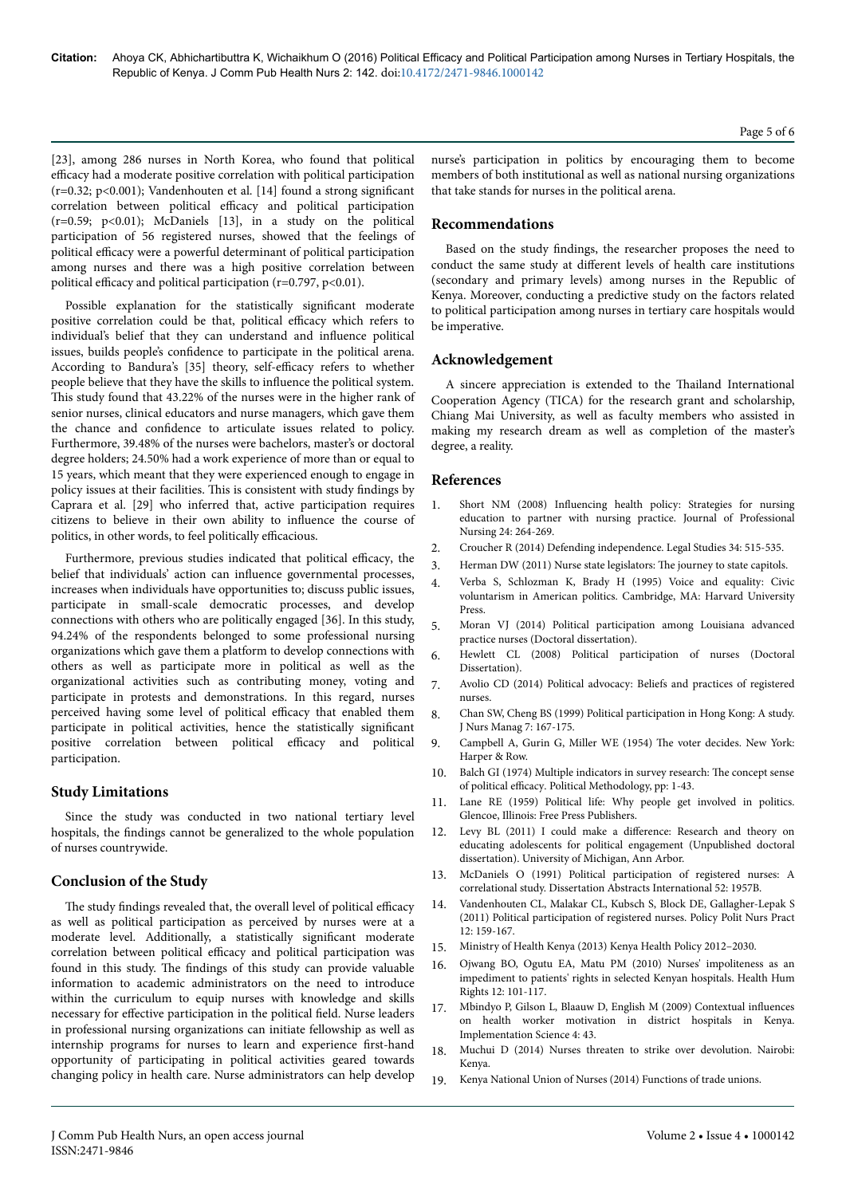[23], among 286 nurses in North Korea, who found that political efficacy had a moderate positive correlation with political participation (r=0.32; p<0.001); Vandenhouten et al. [14] found a strong significant correlation between political efficacy and political participation  $(r=0.59; p<0.01)$ ; McDaniels [13], in a study on the political participation of 56 registered nurses, showed that the feelings of political efficacy were a powerful determinant of political participation among nurses and there was a high positive correlation between political efficacy and political participation ( $r=0.797$ ,  $p<0.01$ ).

Possible explanation for the statistically significant moderate positive correlation could be that, political efficacy which refers to individual's belief that they can understand and influence political issues, builds people's confidence to participate in the political arena. According to Bandura's [35] theory, self-efficacy refers to whether people believe that they have the skills to influence the political system. This study found that 43.22% of the nurses were in the higher rank of senior nurses, clinical educators and nurse managers, which gave them the chance and confidence to articulate issues related to policy. Furthermore, 39.48% of the nurses were bachelors, master's or doctoral degree holders; 24.50% had a work experience of more than or equal to 15 years, which meant that they were experienced enough to engage in policy issues at their facilities. Нis is consistent with study findings by Caprara et al. [29] who inferred that, active participation requires citizens to believe in their own ability to influence the course of politics, in other words, to feel politically efficacious.

Furthermore, previous studies indicated that political efficacy, the belief that individuals' action can influence governmental processes, increases when individuals have opportunities to; discuss public issues, participate in small-scale democratic processes, and develop connections with others who are politically engaged [36]. In this study, 94.24% of the respondents belonged to some professional nursing organizations which gave them a platform to develop connections with others as well as participate more in political as well as the organizational activities such as contributing money, voting and participate in protests and demonstrations. In this regard, nurses perceived having some level of political efficacy that enabled them participate in political activities, hence the statistically significant  $positive$  correlation between political efficacy and political participation.

## **Study Limitations**

Since the study was conducted in two national tertiary level hospitals, the findings cannot be generalized to the whole population of nurses countrywide.

## **Conclusion of the Study**

The study findings revealed that, the overall level of political efficacy as well as political participation as perceived by nurses were at a moderate level. Additionally, a statistically significant moderate correlation between political efficacy and political participation was found in this study. Нe findings of this study can provide valuable information to academic administrators on the need to introduce within the curriculum to equip nurses with knowledge and skills necessary for effective participation in the political field. Nurse leaders in professional nursing organizations can initiate fellowship as well as internship programs for nurses to learn and experience first-hand opportunity of participating in political activities geared towards changing policy in health care. Nurse administrators can help develop

nurse's participation in politics by encouraging them to become members of both institutional as well as national nursing organizations that take stands for nurses in the political arena.

#### **Recommendations**

Based on the study findings, the researcher proposes the need to conduct the same study at different levels of health care institutions (secondary and primary levels) among nurses in the Republic of Kenya. Moreover, conducting a predictive study on the factors related to political participation among nurses in tertiary care hospitals would be imperative.

## **Acknowledgement**

A sincere appreciation is extended to the Нailand International Cooperation Agency (TICA) for the research grant and scholarship, Chiang Mai University, as well as faculty members who assisted in making my research dream as well as completion of the master's degree, a reality.

#### **References**

- 1. Short NM (2008) Influencing [health policy: Strategies for nursing](http://dx.doi.org/10.1016/j.profnurs.2007.10.004) [education to partner with nursing practice. Journal of Professional](http://dx.doi.org/10.1016/j.profnurs.2007.10.004) [Nursing 24: 264-269.](http://dx.doi.org/10.1016/j.profnurs.2007.10.004)
- 2. [Croucher R \(2014\) Defending independence. Legal Studies 34: 515-535.](http://dx.doi.org/10.1111/lest.12060)
- 3. [Herman DW \(2011\) Nurse state legislators:](http://scholarcommons.sc.edu/etd/2588/) Нe journey to state capitols.
- 4. [Verba S, Schlozman K, Brady H \(1995\) Voice and equality: Civic](http://www.hup.harvard.edu/catalog.php?isbn=9780674942936) [voluntarism in American politics. Cambridge, MA: Harvard University](http://www.hup.harvard.edu/catalog.php?isbn=9780674942936) [Press.](http://www.hup.harvard.edu/catalog.php?isbn=9780674942936)
- 5. [Moran VJ \(2014\) Political participation among Louisiana advanced](http://gradworks.umi.com/35/83/3583255.html) [practice nurses \(Doctoral dissertation\).](http://gradworks.umi.com/35/83/3583255.html)
- 6. [Hewlett CL \(2008\) Political participation of nurses \(Doctoral](http://gradworks.umi.com/33/15/3315131.html) [Dissertation\).](http://gradworks.umi.com/33/15/3315131.html)
- 7. [Avolio CD \(2014\) Political advocacy: Beliefs and practices of registered](file:///C:/Users/hareesha-s/AppData/Local/Temp/1.%09http:/scholar.uwindsor.ca/etd) [nurses.](file:///C:/Users/hareesha-s/AppData/Local/Temp/1.%09http:/scholar.uwindsor.ca/etd)
- 8. Chan SW, Cheng BS (1999) Political participation in Hong Kong: A study. J Nurs Manag 7: 167-175.
- 9. [Campbell A, Gurin G, Miller WE \(1954\)](http://dx.doi.org/10.1177/003231878003200105) Нe voter decides. New York: [Harper & Row.](http://dx.doi.org/10.1177/003231878003200105)
- 10. Balch GI (1974) Multiple indicators in survey research: The concept sense of political efficacy. Political Methodology, pp: 1-43.
- 11. [Lane RE \(1959\) Political life: Why people get involved in politics.](https://www.questia.com/library/1080143/political-life-why-people-get-involved-in-politics) [Glencoe, Illinois: Free Press Publishers.](https://www.questia.com/library/1080143/political-life-why-people-get-involved-in-politics)
- 12. [Levy BL \(2011\) I could make a](https://deepblue.lib.umich.edu/bitstream/handle/2027.42/86312/brettml?sequence=1) difference: Research and theory on [educating adolescents for political engagement \(Unpublished doctoral](https://deepblue.lib.umich.edu/bitstream/handle/2027.42/86312/brettml?sequence=1) [dissertation\). University of Michigan, Ann Arbor.](https://deepblue.lib.umich.edu/bitstream/handle/2027.42/86312/brettml?sequence=1)
- 13. McDaniels O (1991) Political participation of registered nurses: A correlational study. Dissertation Abstracts International 52: 1957B.
- [Vandenhouten CL, Malakar CL, Kubsch S, Block DE, Gallagher-Lepak S](http://dx.doi.org/10.1177/1527154411425189) [\(2011\) Political participation of registered nurses. Policy Polit Nurs Pract](http://dx.doi.org/10.1177/1527154411425189) [12: 159-167.](http://dx.doi.org/10.1177/1527154411425189)
- 15. [Ministry of Health Kenya \(2013\) Kenya Health Policy 2012–2030.](https://www.afidep.org/?wpfb_dl=86.)
- 16. [Ojwang BO, Ogutu EA, Matu PM \(2010\) Nurses' impoliteness as an](https://cdn2.sph.harvard.edu/wp-content/uploads/sites/13/2013/08/11-Ojwang.pdf) [impediment to patients' rights in selected Kenyan hospitals. Health Hum](https://cdn2.sph.harvard.edu/wp-content/uploads/sites/13/2013/08/11-Ojwang.pdf) [Rights 12: 101-117.](https://cdn2.sph.harvard.edu/wp-content/uploads/sites/13/2013/08/11-Ojwang.pdf)
- 17. [Mbindyo P, Gilson L, Blaauw D, English M \(2009\) Contextual](http://dx.doi.org/10.1186/1748-5908-4-43) influences [on health worker motivation in district hospitals in Kenya.](http://dx.doi.org/10.1186/1748-5908-4-43) [Implementation Science 4: 43.](http://dx.doi.org/10.1186/1748-5908-4-43)
- 18. [Muchui D \(2014\) Nurses threaten to strike over devolution. Nairobi:](http://www.businessdailyafrica.com/Nurses-threaten-to-strike-over-devolution/-/539546/2524452/-/1g2ihwz/-/in) [Kenya.](http://www.businessdailyafrica.com/Nurses-threaten-to-strike-over-devolution/-/539546/2524452/-/1g2ihwz/-/in)
- 19. [Kenya National Union of Nurses \(2014\) Functions of trade unions.](file:///C:/Users/hareesha-s/AppData/Local/Temp/1.%09http:/www.knun.org/homepage/about%20us)